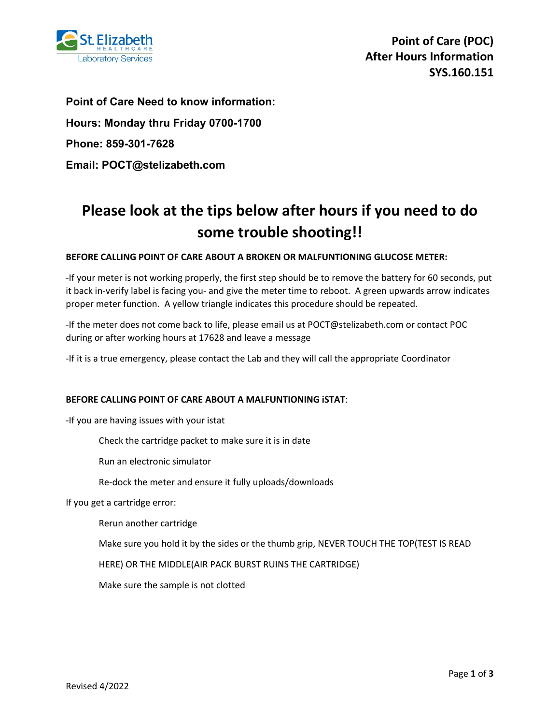

**Point of Care Need to know information: Hours: Monday thru Friday 0700-1700 Phone: 859-301-7628 Email: POCT@stelizabeth.com**

# **Please look at the tips below after hours if you need to do some trouble shooting!!**

## **BEFORE CALLING POINT OF CARE ABOUT A BROKEN OR MALFUNTIONING GLUCOSE METER:**

-If your meter is not working properly, the first step should be to remove the battery for 60 seconds, put it back in-verify label is facing you- and give the meter time to reboot. A green upwards arrow indicates proper meter function. A yellow triangle indicates this procedure should be repeated.

-If the meter does not come back to life, please email us at POCT@stelizabeth.com or contact POC during or after working hours at 17628 and leave a message

-If it is a true emergency, please contact the Lab and they will call the appropriate Coordinator

## **BEFORE CALLING POINT OF CARE ABOUT A MALFUNTIONING iSTAT**:

-If you are having issues with your istat

Check the cartridge packet to make sure it is in date

Run an electronic simulator

Re-dock the meter and ensure it fully uploads/downloads

If you get a cartridge error:

Rerun another cartridge

Make sure you hold it by the sides or the thumb grip, NEVER TOUCH THE TOP(TEST IS READ

HERE) OR THE MIDDLE(AIR PACK BURST RUINS THE CARTRIDGE)

Make sure the sample is not clotted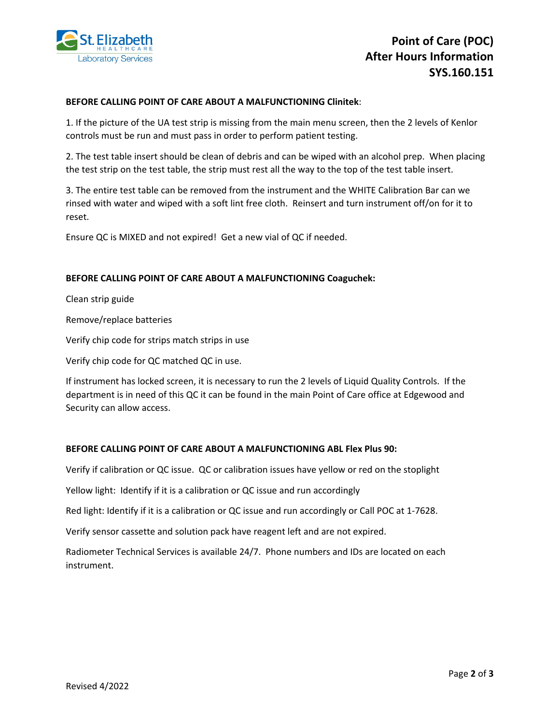

### **BEFORE CALLING POINT OF CARE ABOUT A MALFUNCTIONING Clinitek**:

1. If the picture of the UA test strip is missing from the main menu screen, then the 2 levels of Kenlor controls must be run and must pass in order to perform patient testing.

2. The test table insert should be clean of debris and can be wiped with an alcohol prep. When placing the test strip on the test table, the strip must rest all the way to the top of the test table insert.

3. The entire test table can be removed from the instrument and the WHITE Calibration Bar can we rinsed with water and wiped with a soft lint free cloth. Reinsert and turn instrument off/on for it to reset.

Ensure QC is MIXED and not expired! Get a new vial of QC if needed.

#### **BEFORE CALLING POINT OF CARE ABOUT A MALFUNCTIONING Coaguchek:**

Clean strip guide

Remove/replace batteries

Verify chip code for strips match strips in use

Verify chip code for QC matched QC in use.

If instrument has locked screen, it is necessary to run the 2 levels of Liquid Quality Controls. If the department is in need of this QC it can be found in the main Point of Care office at Edgewood and Security can allow access.

## **BEFORE CALLING POINT OF CARE ABOUT A MALFUNCTIONING ABL Flex Plus 90:**

Verify if calibration or QC issue. QC or calibration issues have yellow or red on the stoplight

Yellow light: Identify if it is a calibration or QC issue and run accordingly

Red light: Identify if it is a calibration or QC issue and run accordingly or Call POC at 1-7628.

Verify sensor cassette and solution pack have reagent left and are not expired.

Radiometer Technical Services is available 24/7. Phone numbers and IDs are located on each instrument.